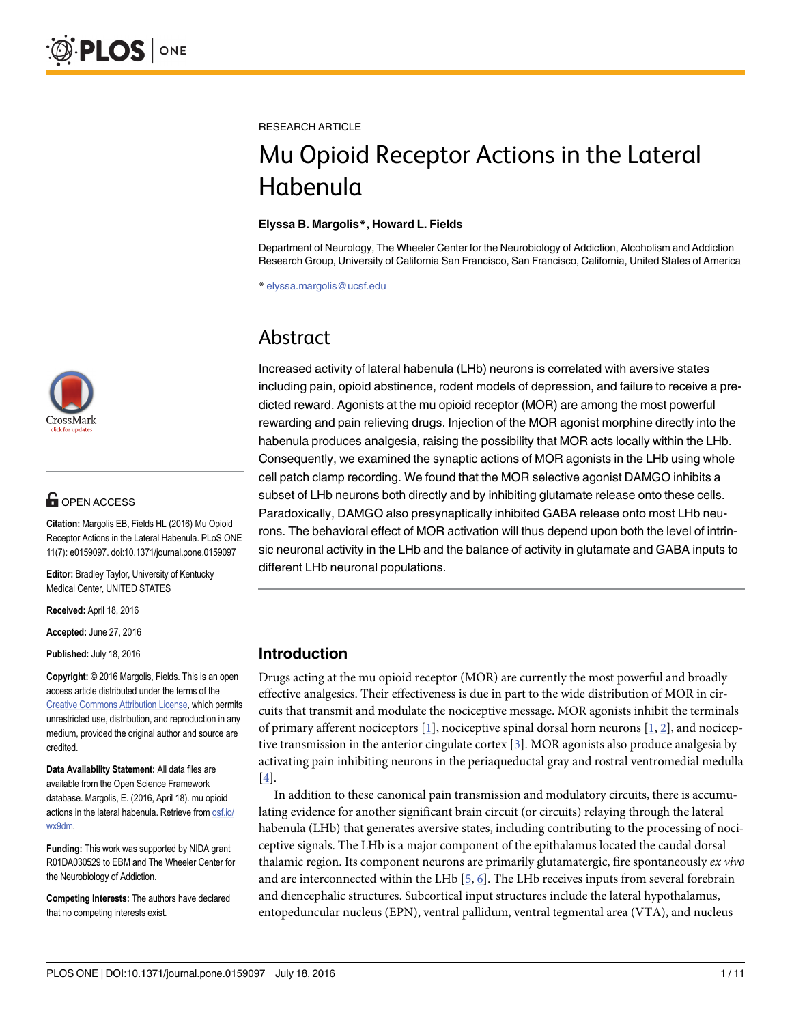

# **OPEN ACCESS**

Citation: Margolis EB, Fields HL (2016) Mu Opioid Receptor Actions in the Lateral Habenula. PLoS ONE 11(7): e0159097. doi:10.1371/journal.pone.0159097

Editor: Bradley Taylor, University of Kentucky Medical Center, UNITED STATES

Received: April 18, 2016

Accepted: June 27, 2016

Published: July 18, 2016

Copyright: © 2016 Margolis, Fields. This is an open access article distributed under the terms of the [Creative Commons Attribution License,](http://creativecommons.org/licenses/by/4.0/) which permits unrestricted use, distribution, and reproduction in any medium, provided the original author and source are credited.

Data Availability Statement: All data files are available from the Open Science Framework database. Margolis, E. (2016, April 18). mu opioid actions in the lateral habenula. Retrieve from [osf.io/](http://osf.io/wx9dm) [wx9dm](http://osf.io/wx9dm).

Funding: This work was supported by NIDA grant R01DA030529 to EBM and The Wheeler Center for the Neurobiology of Addiction.

Competing Interests: The authors have declared that no competing interests exist.

<span id="page-0-0"></span>RESEARCH ARTICLE

# Mu Opioid Receptor Actions in the Lateral Habenula

#### Elyssa B. Margolis\*, Howard L. Fields

Department of Neurology, The Wheeler Center for the Neurobiology of Addiction, Alcoholism and Addiction Research Group, University of California San Francisco, San Francisco, California, United States of America

\* elyssa.margolis@ucsf.edu

# Abstract

Increased activity of lateral habenula (LHb) neurons is correlated with aversive states including pain, opioid abstinence, rodent models of depression, and failure to receive a predicted reward. Agonists at the mu opioid receptor (MOR) are among the most powerful rewarding and pain relieving drugs. Injection of the MOR agonist morphine directly into the habenula produces analgesia, raising the possibility that MOR acts locally within the LHb. Consequently, we examined the synaptic actions of MOR agonists in the LHb using whole cell patch clamp recording. We found that the MOR selective agonist DAMGO inhibits a subset of LHb neurons both directly and by inhibiting glutamate release onto these cells. Paradoxically, DAMGO also presynaptically inhibited GABA release onto most LHb neurons. The behavioral effect of MOR activation will thus depend upon both the level of intrinsic neuronal activity in the LHb and the balance of activity in glutamate and GABA inputs to different LHb neuronal populations.

# Introduction

Drugs acting at the mu opioid receptor (MOR) are currently the most powerful and broadly effective analgesics. Their effectiveness is due in part to the wide distribution of MOR in circuits that transmit and modulate the nociceptive message. MOR agonists inhibit the terminals of primary afferent nociceptors  $[1]$ , nociceptive spinal dorsal horn neurons  $[1, 2]$  $[1, 2]$  $[1, 2]$  $[1, 2]$ , and nociceptive transmission in the anterior cingulate cortex  $[3]$  $[3]$  $[3]$ . MOR agonists also produce analgesia by activating pain inhibiting neurons in the periaqueductal gray and rostral ventromedial medulla [\[4](#page-9-0)].

In addition to these canonical pain transmission and modulatory circuits, there is accumulating evidence for another significant brain circuit (or circuits) relaying through the lateral habenula (LHb) that generates aversive states, including contributing to the processing of nociceptive signals. The LHb is a major component of the epithalamus located the caudal dorsal thalamic region. Its component neurons are primarily glutamatergic, fire spontaneously ex vivo and are interconnected within the LHb  $[5, 6]$  $[5, 6]$  $[5, 6]$  $[5, 6]$ . The LHb receives inputs from several forebrain and diencephalic structures. Subcortical input structures include the lateral hypothalamus, entopeduncular nucleus (EPN), ventral pallidum, ventral tegmental area (VTA), and nucleus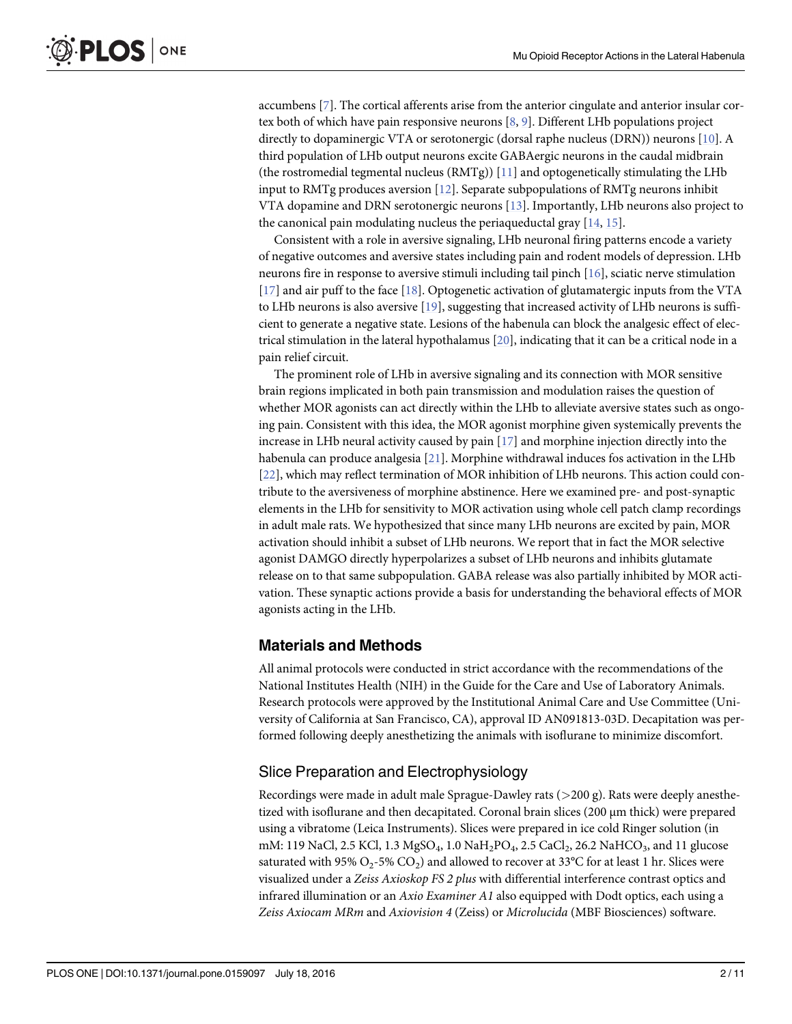<span id="page-1-0"></span>accumbens [[7\]](#page-9-0). The cortical afferents arise from the anterior cingulate and anterior insular cortex both of which have pain responsive neurons [\[8,](#page-9-0) [9](#page-9-0)]. Different LHb populations project directly to dopaminergic VTA or serotonergic (dorsal raphe nucleus (DRN)) neurons [\[10\]](#page-9-0). A third population of LHb output neurons excite GABAergic neurons in the caudal midbrain (the rostromedial tegmental nucleus (RMTg))  $[11]$  and optogenetically stimulating the LHb input to RMTg produces aversion [\[12](#page-9-0)]. Separate subpopulations of RMTg neurons inhibit VTA dopamine and DRN serotonergic neurons [\[13\]](#page-9-0). Importantly, LHb neurons also project to the canonical pain modulating nucleus the periaqueductal gray [\[14,](#page-9-0) [15\]](#page-9-0).

Consistent with a role in aversive signaling, LHb neuronal firing patterns encode a variety of negative outcomes and aversive states including pain and rodent models of depression. LHb neurons fire in response to aversive stimuli including tail pinch [[16](#page-9-0)], sciatic nerve stimulation [\[17](#page-9-0)] and air puff to the face [\[18\]](#page-9-0). Optogenetic activation of glutamatergic inputs from the VTA to LHb neurons is also aversive [[19](#page-9-0)], suggesting that increased activity of LHb neurons is sufficient to generate a negative state. Lesions of the habenula can block the analgesic effect of electrical stimulation in the lateral hypothalamus  $[20]$  $[20]$ , indicating that it can be a critical node in a pain relief circuit.

The prominent role of LHb in aversive signaling and its connection with MOR sensitive brain regions implicated in both pain transmission and modulation raises the question of whether MOR agonists can act directly within the LHb to alleviate aversive states such as ongoing pain. Consistent with this idea, the MOR agonist morphine given systemically prevents the increase in LHb neural activity caused by pain  $[17]$  $[17]$  $[17]$  and morphine injection directly into the habenula can produce analgesia [\[21\]](#page-9-0). Morphine withdrawal induces fos activation in the LHb [\[22](#page-10-0)], which may reflect termination of MOR inhibition of LHb neurons. This action could contribute to the aversiveness of morphine abstinence. Here we examined pre- and post-synaptic elements in the LHb for sensitivity to MOR activation using whole cell patch clamp recordings in adult male rats. We hypothesized that since many LHb neurons are excited by pain, MOR activation should inhibit a subset of LHb neurons. We report that in fact the MOR selective agonist DAMGO directly hyperpolarizes a subset of LHb neurons and inhibits glutamate release on to that same subpopulation. GABA release was also partially inhibited by MOR activation. These synaptic actions provide a basis for understanding the behavioral effects of MOR agonists acting in the LHb.

# Materials and Methods

All animal protocols were conducted in strict accordance with the recommendations of the National Institutes Health (NIH) in the Guide for the Care and Use of Laboratory Animals. Research protocols were approved by the Institutional Animal Care and Use Committee (University of California at San Francisco, CA), approval ID AN091813-03D. Decapitation was performed following deeply anesthetizing the animals with isoflurane to minimize discomfort.

# Slice Preparation and Electrophysiology

Recordings were made in adult male Sprague-Dawley rats  $(>200 \text{ g})$ . Rats were deeply anesthetized with isoflurane and then decapitated. Coronal brain slices (200 μm thick) were prepared using a vibratome (Leica Instruments). Slices were prepared in ice cold Ringer solution (in mM: 119 NaCl, 2.5 KCl, 1.3 MgSO<sub>4</sub>, 1.0 NaH<sub>2</sub>PO<sub>4</sub>, 2.5 CaCl<sub>2</sub>, 26.2 NaHCO<sub>3</sub>, and 11 glucose saturated with 95% O<sub>2</sub>-5% CO<sub>2</sub>) and allowed to recover at 33°C for at least 1 hr. Slices were visualized under a Zeiss Axioskop FS 2 plus with differential interference contrast optics and infrared illumination or an Axio Examiner A1 also equipped with Dodt optics, each using a Zeiss Axiocam MRm and Axiovision 4 (Zeiss) or Microlucida (MBF Biosciences) software.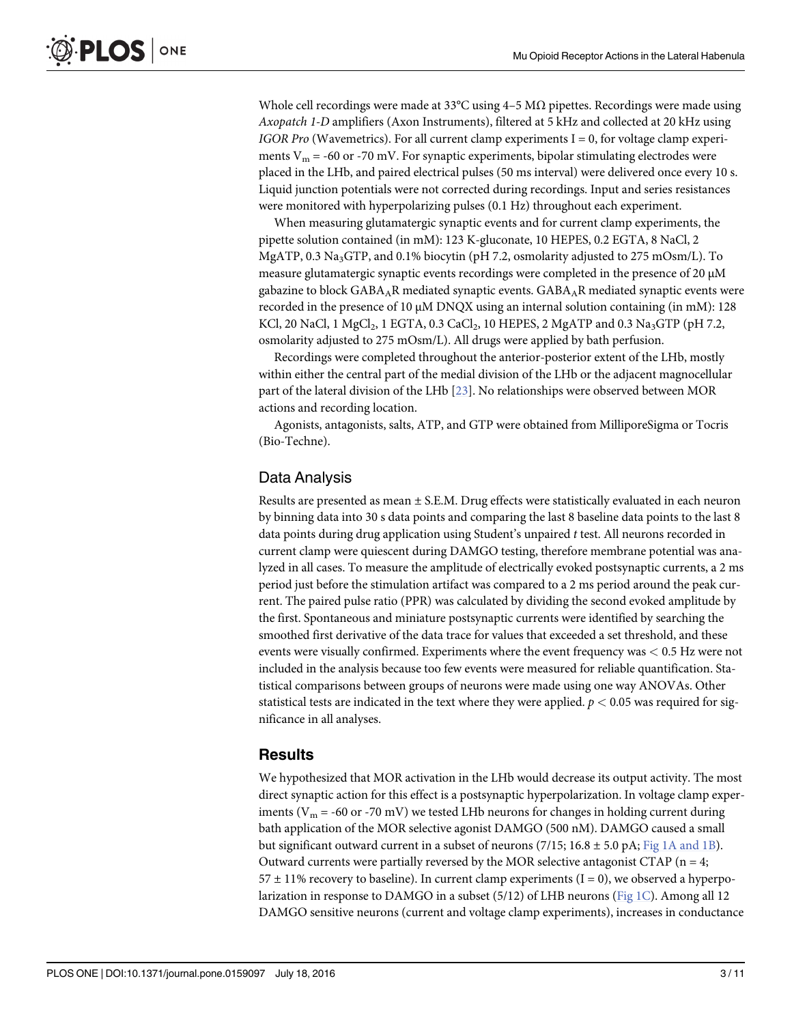<span id="page-2-0"></span>Whole cell recordings were made at 33°C using  $4-5$  M $\Omega$  pipettes. Recordings were made using Axopatch 1-D amplifiers (Axon Instruments), filtered at 5 kHz and collected at 20 kHz using IGOR Pro (Wavemetrics). For all current clamp experiments  $I = 0$ , for voltage clamp experiments  $V_m$  = -60 or -70 mV. For synaptic experiments, bipolar stimulating electrodes were placed in the LHb, and paired electrical pulses (50 ms interval) were delivered once every 10 s. Liquid junction potentials were not corrected during recordings. Input and series resistances were monitored with hyperpolarizing pulses (0.1 Hz) throughout each experiment.

When measuring glutamatergic synaptic events and for current clamp experiments, the pipette solution contained (in mM): 123 K-gluconate, 10 HEPES, 0.2 EGTA, 8 NaCl, 2 MgATP, 0.3 Na3GTP, and 0.1% biocytin (pH 7.2, osmolarity adjusted to 275 mOsm/L). To measure glutamatergic synaptic events recordings were completed in the presence of 20 μM gabazine to block  $GABA_AR$  mediated synaptic events.  $GABA_AR$  mediated synaptic events were recorded in the presence of 10 μM DNQX using an internal solution containing (in mM): 128 KCl, 20 NaCl, 1 MgCl<sub>2</sub>, 1 EGTA, 0.3 CaCl<sub>2</sub>, 10 HEPES, 2 MgATP and 0.3 Na<sub>3</sub>GTP (pH 7.2, osmolarity adjusted to 275 mOsm/L). All drugs were applied by bath perfusion.

Recordings were completed throughout the anterior-posterior extent of the LHb, mostly within either the central part of the medial division of the LHb or the adjacent magnocellular part of the lateral division of the LHb [\[23\]](#page-10-0). No relationships were observed between MOR actions and recording location.

Agonists, antagonists, salts, ATP, and GTP were obtained from MilliporeSigma or Tocris (Bio-Techne).

# Data Analysis

Results are presented as mean ± S.E.M. Drug effects were statistically evaluated in each neuron by binning data into 30 s data points and comparing the last 8 baseline data points to the last 8 data points during drug application using Student's unpaired t test. All neurons recorded in current clamp were quiescent during DAMGO testing, therefore membrane potential was analyzed in all cases. To measure the amplitude of electrically evoked postsynaptic currents, a 2 ms period just before the stimulation artifact was compared to a 2 ms period around the peak current. The paired pulse ratio (PPR) was calculated by dividing the second evoked amplitude by the first. Spontaneous and miniature postsynaptic currents were identified by searching the smoothed first derivative of the data trace for values that exceeded a set threshold, and these events were visually confirmed. Experiments where the event frequency was < 0.5 Hz were not included in the analysis because too few events were measured for reliable quantification. Statistical comparisons between groups of neurons were made using one way ANOVAs. Other statistical tests are indicated in the text where they were applied.  $p < 0.05$  was required for significance in all analyses.

#### **Results**

We hypothesized that MOR activation in the LHb would decrease its output activity. The most direct synaptic action for this effect is a postsynaptic hyperpolarization. In voltage clamp experiments ( $V_m$  = -60 or -70 mV) we tested LHb neurons for changes in holding current during bath application of the MOR selective agonist DAMGO (500 nM). DAMGO caused a small but significant outward current in a subset of neurons (7/15; 16.8  $\pm$  5.0 pA; [Fig 1A and 1B\)](#page-3-0). Outward currents were partially reversed by the MOR selective antagonist CTAP ( $n = 4$ ;  $57 \pm 11\%$  recovery to baseline). In current clamp experiments (I = 0), we observed a hyperpo-larization in response to DAMGO in a subset (5/12) of LHB neurons ([Fig 1C\)](#page-3-0). Among all 12 DAMGO sensitive neurons (current and voltage clamp experiments), increases in conductance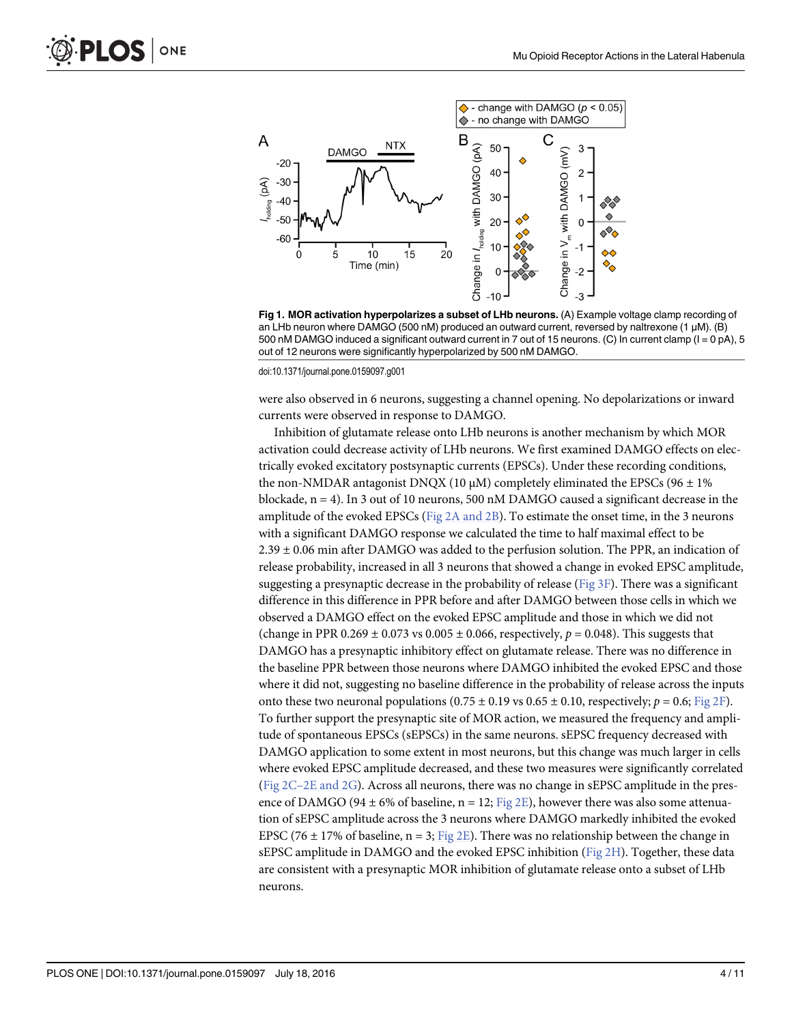<span id="page-3-0"></span>

[Fig 1. M](#page-2-0)OR activation hyperpolarizes a subset of LHb neurons. (A) Example voltage clamp recording of an LHb neuron where DAMGO (500 nM) produced an outward current, reversed by naltrexone (1 μM). (B) 500 nM DAMGO induced a significant outward current in 7 out of 15 neurons. (C) In current clamp (I = 0 pA), 5 out of 12 neurons were significantly hyperpolarized by 500 nM DAMGO.

doi:10.1371/journal.pone.0159097.g001

were also observed in 6 neurons, suggesting a channel opening. No depolarizations or inward currents were observed in response to DAMGO.

Inhibition of glutamate release onto LHb neurons is another mechanism by which MOR activation could decrease activity of LHb neurons. We first examined DAMGO effects on electrically evoked excitatory postsynaptic currents (EPSCs). Under these recording conditions, the non-NMDAR antagonist DNQX (10 μM) completely eliminated the EPSCs (96  $\pm$  1% blockade,  $n = 4$ ). In 3 out of 10 neurons, 500 nM DAMGO caused a significant decrease in the amplitude of the evoked EPSCs ( $Fig 2A$  and  $2B$ ). To estimate the onset time, in the 3 neurons with a significant DAMGO response we calculated the time to half maximal effect to be  $2.39 \pm 0.06$  min after DAMGO was added to the perfusion solution. The PPR, an indication of release probability, increased in all 3 neurons that showed a change in evoked EPSC amplitude, suggesting a presynaptic decrease in the probability of release (Fig  $3F$ ). There was a significant difference in this difference in PPR before and after DAMGO between those cells in which we observed a DAMGO effect on the evoked EPSC amplitude and those in which we did not (change in PPR 0.269  $\pm$  0.073 vs 0.005  $\pm$  0.066, respectively,  $p = 0.048$ ). This suggests that DAMGO has a presynaptic inhibitory effect on glutamate release. There was no difference in the baseline PPR between those neurons where DAMGO inhibited the evoked EPSC and those where it did not, suggesting no baseline difference in the probability of release across the inputs onto these two neuronal populations  $(0.75 \pm 0.19 \text{ vs } 0.65 \pm 0.10, \text{ respectively}; p = 0.6; \text{Fig } 2\text{F}).$ To further support the presynaptic site of MOR action, we measured the frequency and amplitude of spontaneous EPSCs (sEPSCs) in the same neurons. sEPSC frequency decreased with DAMGO application to some extent in most neurons, but this change was much larger in cells where evoked EPSC amplitude decreased, and these two measures were significantly correlated (Fig 2C–[2E and 2G](#page-4-0)). Across all neurons, there was no change in sEPSC amplitude in the presence of DAMGO (94  $\pm$  6% of baseline, n = 12; [Fig 2E\)](#page-4-0), however there was also some attenuation of sEPSC amplitude across the 3 neurons where DAMGO markedly inhibited the evoked EPSC (76  $\pm$  17% of baseline, n = 3; [Fig 2E](#page-4-0)). There was no relationship between the change in sEPSC amplitude in DAMGO and the evoked EPSC inhibition ( $Fig 2H$ ). Together, these data are consistent with a presynaptic MOR inhibition of glutamate release onto a subset of LHb neurons.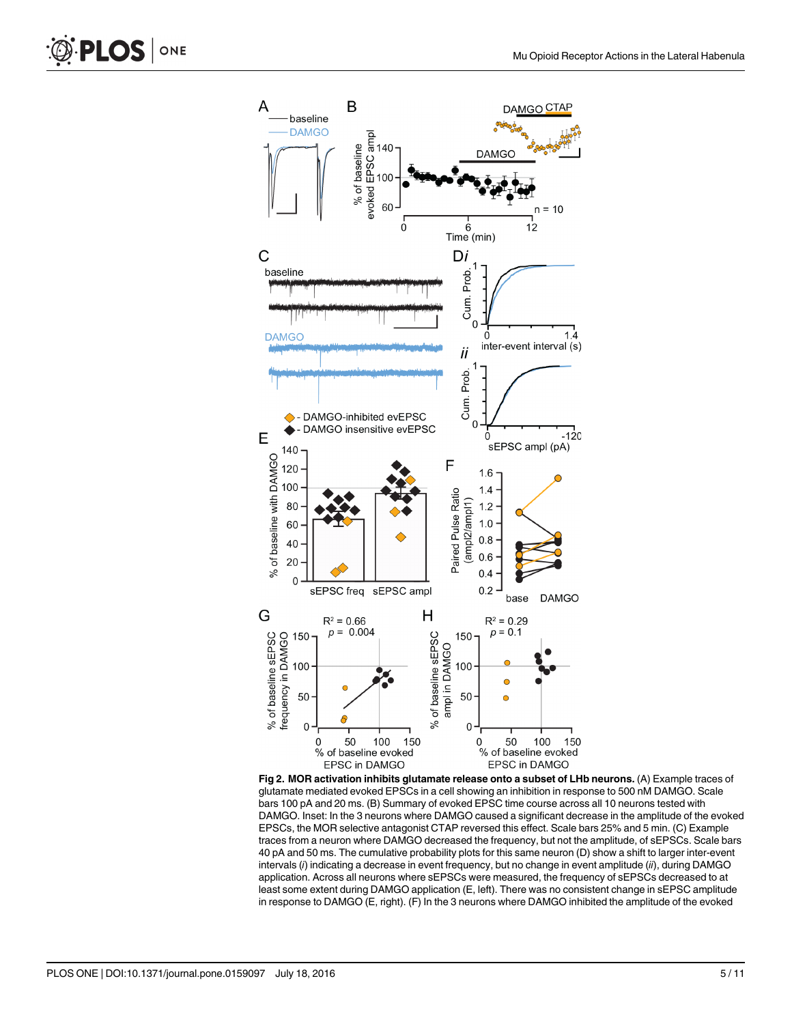<span id="page-4-0"></span>



[Fig 2. M](#page-3-0)OR activation inhibits glutamate release onto a subset of LHb neurons. (A) Example traces of glutamate mediated evoked EPSCs in a cell showing an inhibition in response to 500 nM DAMGO. Scale bars 100 pA and 20 ms. (B) Summary of evoked EPSC time course across all 10 neurons tested with DAMGO. Inset: In the 3 neurons where DAMGO caused a significant decrease in the amplitude of the evoked EPSCs, the MOR selective antagonist CTAP reversed this effect. Scale bars 25% and 5 min. (C) Example traces from a neuron where DAMGO decreased the frequency, but not the amplitude, of sEPSCs. Scale bars 40 pA and 50 ms. The cumulative probability plots for this same neuron (D) show a shift to larger inter-event intervals (i) indicating a decrease in event frequency, but no change in event amplitude (ii), during DAMGO application. Across all neurons where sEPSCs were measured, the frequency of sEPSCs decreased to at least some extent during DAMGO application (E, left). There was no consistent change in sEPSC amplitude in response to DAMGO (E, right). (F) In the 3 neurons where DAMGO inhibited the amplitude of the evoked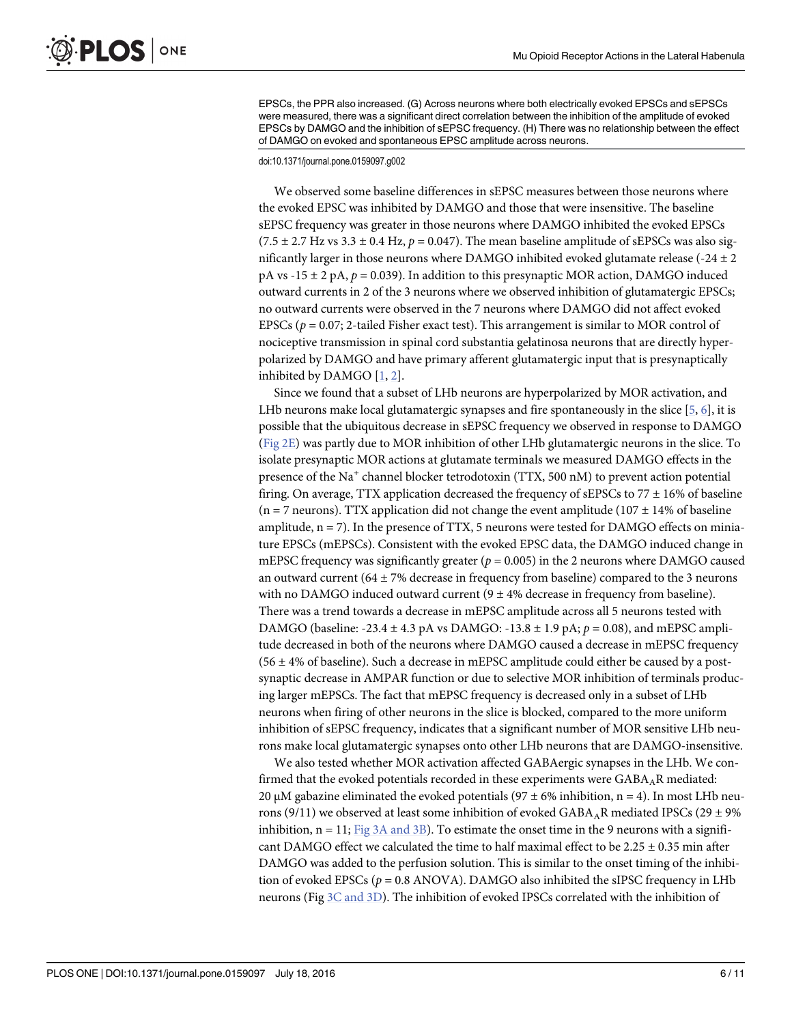EPSCs, the PPR also increased. (G) Across neurons where both electrically evoked EPSCs and sEPSCs were measured, there was a significant direct correlation between the inhibition of the amplitude of evoked EPSCs by DAMGO and the inhibition of sEPSC frequency. (H) There was no relationship between the effect of DAMGO on evoked and spontaneous EPSC amplitude across neurons.

#### doi:10.1371/journal.pone.0159097.g002

We observed some baseline differences in sEPSC measures between those neurons where the evoked EPSC was inhibited by DAMGO and those that were insensitive. The baseline sEPSC frequency was greater in those neurons where DAMGO inhibited the evoked EPSCs  $(7.5 \pm 2.7 \text{ Hz vs } 3.3 \pm 0.4 \text{ Hz}, p = 0.047)$ . The mean baseline amplitude of sEPSCs was also significantly larger in those neurons where DAMGO inhibited evoked glutamate release  $(-24 \pm 2)$ pA vs -15  $\pm$  2 pA,  $p = 0.039$ ). In addition to this presynaptic MOR action, DAMGO induced outward currents in 2 of the 3 neurons where we observed inhibition of glutamatergic EPSCs; no outward currents were observed in the 7 neurons where DAMGO did not affect evoked EPSCs ( $p = 0.07$ ; 2-tailed Fisher exact test). This arrangement is similar to MOR control of nociceptive transmission in spinal cord substantia gelatinosa neurons that are directly hyperpolarized by DAMGO and have primary afferent glutamatergic input that is presynaptically inhibited by DAMGO  $[1, 2]$  $[1, 2]$  $[1, 2]$  $[1, 2]$ .

Since we found that a subset of LHb neurons are hyperpolarized by MOR activation, and LHb neurons make local glutamatergic synapses and fire spontaneously in the slice [[5,](#page-9-0) [6\]](#page-9-0), it is possible that the ubiquitous decrease in sEPSC frequency we observed in response to DAMGO [\(Fig 2E](#page-4-0)) was partly due to MOR inhibition of other LHb glutamatergic neurons in the slice. To isolate presynaptic MOR actions at glutamate terminals we measured DAMGO effects in the presence of the Na<sup>+</sup> channel blocker tetrodotoxin (TTX, 500 nM) to prevent action potential firing. On average, TTX application decreased the frequency of sEPSCs to  $77 \pm 16\%$  of baseline (n = 7 neurons). TTX application did not change the event amplitude (107  $\pm$  14% of baseline amplitude,  $n = 7$ ). In the presence of TTX, 5 neurons were tested for DAMGO effects on miniature EPSCs (mEPSCs). Consistent with the evoked EPSC data, the DAMGO induced change in mEPSC frequency was significantly greater ( $p = 0.005$ ) in the 2 neurons where DAMGO caused an outward current (64  $\pm$  7% decrease in frequency from baseline) compared to the 3 neurons with no DAMGO induced outward current  $(9 \pm 4\%$  decrease in frequency from baseline). There was a trend towards a decrease in mEPSC amplitude across all 5 neurons tested with DAMGO (baseline:  $-23.4 \pm 4.3$  pA vs DAMGO:  $-13.8 \pm 1.9$  pA;  $p = 0.08$ ), and mEPSC amplitude decreased in both of the neurons where DAMGO caused a decrease in mEPSC frequency  $(56 \pm 4\%)$  of baseline). Such a decrease in mEPSC amplitude could either be caused by a postsynaptic decrease in AMPAR function or due to selective MOR inhibition of terminals producing larger mEPSCs. The fact that mEPSC frequency is decreased only in a subset of LHb neurons when firing of other neurons in the slice is blocked, compared to the more uniform inhibition of sEPSC frequency, indicates that a significant number of MOR sensitive LHb neurons make local glutamatergic synapses onto other LHb neurons that are DAMGO-insensitive.

We also tested whether MOR activation affected GABAergic synapses in the LHb. We confirmed that the evoked potentials recorded in these experiments were  $GABA_AR$  mediated: 20 μM gabazine eliminated the evoked potentials (97  $\pm$  6% inhibition, n = 4). In most LHb neurons (9/11) we observed at least some inhibition of evoked  $GABA_AR$  mediated IPSCs (29  $\pm$  9%) inhibition,  $n = 11$ ; [Fig 3A and 3B\)](#page-6-0). To estimate the onset time in the 9 neurons with a significant DAMGO effect we calculated the time to half maximal effect to be 2.25  $\pm$  0.35 min after DAMGO was added to the perfusion solution. This is similar to the onset timing of the inhibition of evoked EPSCs ( $p = 0.8$  ANOVA). DAMGO also inhibited the sIPSC frequency in LHb neurons (Fig [3C and 3D\)](#page-6-0). The inhibition of evoked IPSCs correlated with the inhibition of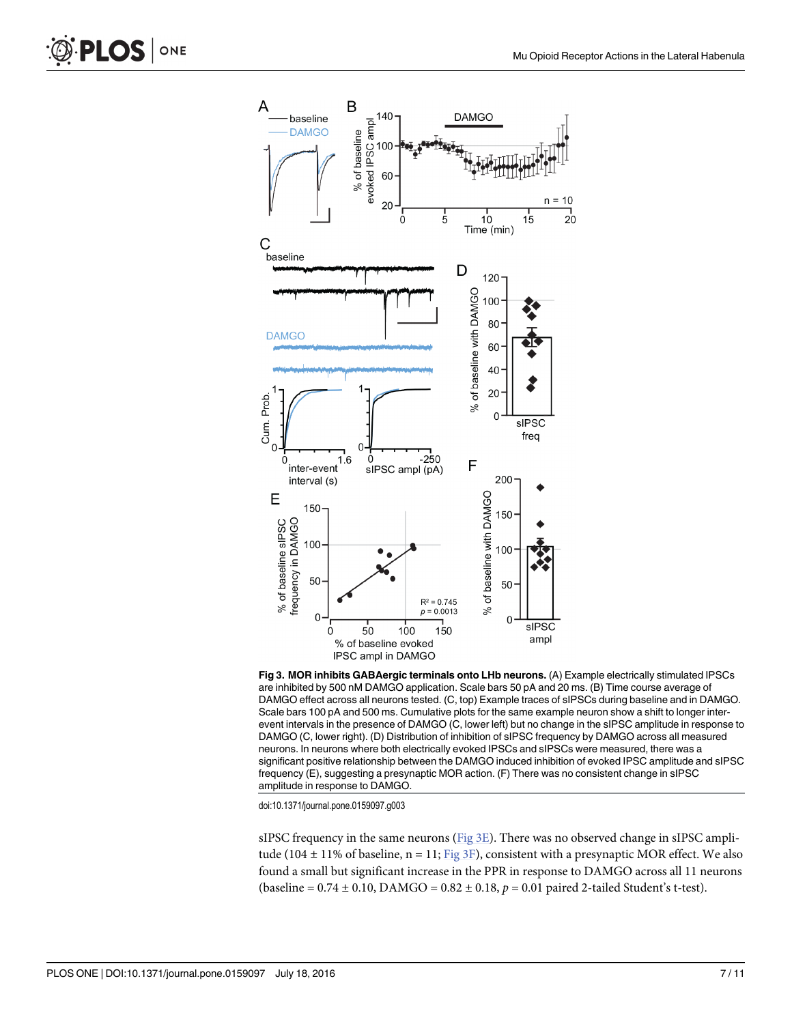<span id="page-6-0"></span>



[Fig 3. M](#page-3-0)OR inhibits GABAergic terminals onto LHb neurons. (A) Example electrically stimulated IPSCs are inhibited by 500 nM DAMGO application. Scale bars 50 pA and 20 ms. (B) Time course average of DAMGO effect across all neurons tested. (C, top) Example traces of sIPSCs during baseline and in DAMGO. Scale bars 100 pA and 500 ms. Cumulative plots for the same example neuron show a shift to longer interevent intervals in the presence of DAMGO (C, lower left) but no change in the sIPSC amplitude in response to DAMGO (C, lower right). (D) Distribution of inhibition of sIPSC frequency by DAMGO across all measured neurons. In neurons where both electrically evoked IPSCs and sIPSCs were measured, there was a significant positive relationship between the DAMGO induced inhibition of evoked IPSC amplitude and sIPSC frequency (E), suggesting a presynaptic MOR action. (F) There was no consistent change in sIPSC amplitude in response to DAMGO.

doi:10.1371/journal.pone.0159097.g003

sIPSC frequency in the same neurons ( $Fig 3E$ ). There was no observed change in sIPSC amplitude (104  $\pm$  11% of baseline, n = 11; Fig 3F), consistent with a presynaptic MOR effect. We also found a small but significant increase in the PPR in response to DAMGO across all 11 neurons (baseline =  $0.74 \pm 0.10$ , DAMGO =  $0.82 \pm 0.18$ ,  $p = 0.01$  paired 2-tailed Student's t-test).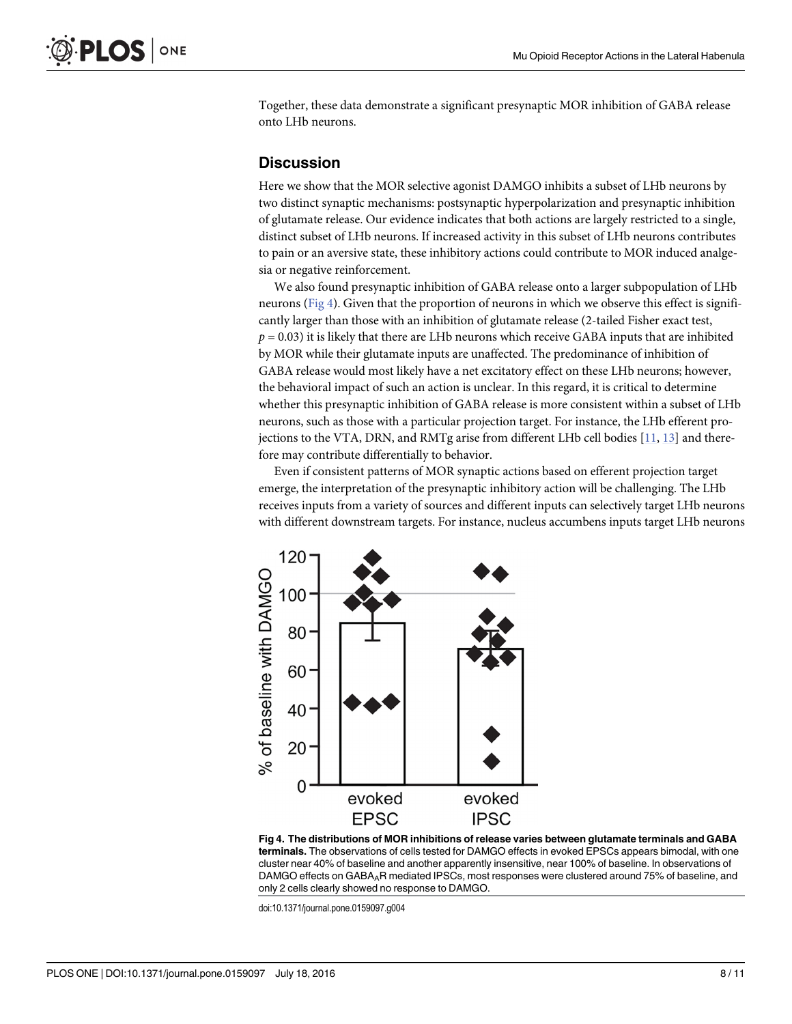<span id="page-7-0"></span>Together, these data demonstrate a significant presynaptic MOR inhibition of GABA release onto LHb neurons.

### **Discussion**

Here we show that the MOR selective agonist DAMGO inhibits a subset of LHb neurons by two distinct synaptic mechanisms: postsynaptic hyperpolarization and presynaptic inhibition of glutamate release. Our evidence indicates that both actions are largely restricted to a single, distinct subset of LHb neurons. If increased activity in this subset of LHb neurons contributes to pain or an aversive state, these inhibitory actions could contribute to MOR induced analgesia or negative reinforcement.

We also found presynaptic inhibition of GABA release onto a larger subpopulation of LHb neurons (Fig 4). Given that the proportion of neurons in which we observe this effect is significantly larger than those with an inhibition of glutamate release (2-tailed Fisher exact test,  $p = 0.03$ ) it is likely that there are LHb neurons which receive GABA inputs that are inhibited by MOR while their glutamate inputs are unaffected. The predominance of inhibition of GABA release would most likely have a net excitatory effect on these LHb neurons; however, the behavioral impact of such an action is unclear. In this regard, it is critical to determine whether this presynaptic inhibition of GABA release is more consistent within a subset of LHb neurons, such as those with a particular projection target. For instance, the LHb efferent projections to the VTA, DRN, and RMTg arise from different LHb cell bodies  $[11, 13]$  $[11, 13]$  $[11, 13]$  and therefore may contribute differentially to behavior.

Even if consistent patterns of MOR synaptic actions based on efferent projection target emerge, the interpretation of the presynaptic inhibitory action will be challenging. The LHb receives inputs from a variety of sources and different inputs can selectively target LHb neurons with different downstream targets. For instance, nucleus accumbens inputs target LHb neurons



Fig 4. The distributions of MOR inhibitions of release varies between glutamate terminals and GABA terminals. The observations of cells tested for DAMGO effects in evoked EPSCs appears bimodal, with one cluster near 40% of baseline and another apparently insensitive, near 100% of baseline. In observations of DAMGO effects on GABA<sub>A</sub>R mediated IPSCs, most responses were clustered around 75% of baseline, and only 2 cells clearly showed no response to DAMGO.

doi:10.1371/journal.pone.0159097.g004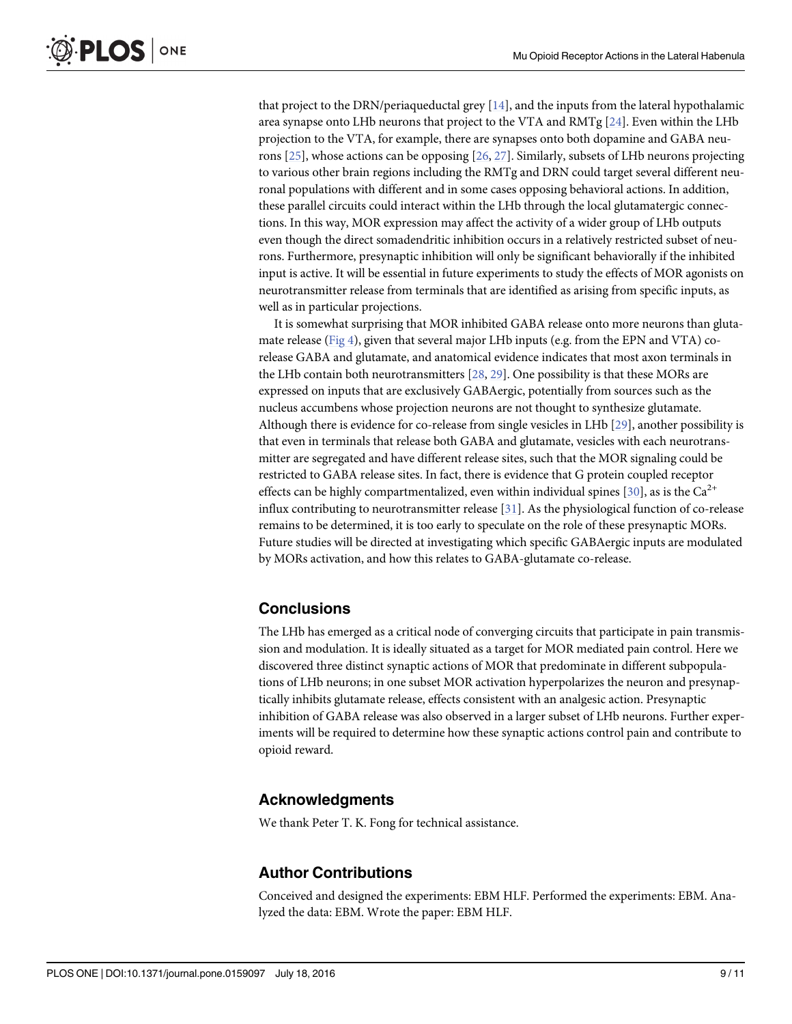<span id="page-8-0"></span>that project to the DRN/periaqueductal grey  $[14]$  $[14]$  $[14]$ , and the inputs from the lateral hypothalamic area synapse onto LHb neurons that project to the VTA and RMTg  $[24]$ . Even within the LHb projection to the VTA, for example, there are synapses onto both dopamine and GABA neurons  $[25]$ , whose actions can be opposing  $[26, 27]$  $[26, 27]$  $[26, 27]$ . Similarly, subsets of LHb neurons projecting to various other brain regions including the RMTg and DRN could target several different neuronal populations with different and in some cases opposing behavioral actions. In addition, these parallel circuits could interact within the LHb through the local glutamatergic connections. In this way, MOR expression may affect the activity of a wider group of LHb outputs even though the direct somadendritic inhibition occurs in a relatively restricted subset of neurons. Furthermore, presynaptic inhibition will only be significant behaviorally if the inhibited input is active. It will be essential in future experiments to study the effects of MOR agonists on neurotransmitter release from terminals that are identified as arising from specific inputs, as well as in particular projections.

It is somewhat surprising that MOR inhibited GABA release onto more neurons than gluta-mate release [\(Fig 4\)](#page-7-0), given that several major LHb inputs (e.g. from the EPN and VTA) corelease GABA and glutamate, and anatomical evidence indicates that most axon terminals in the LHb contain both neurotransmitters [\[28,](#page-10-0) [29\]](#page-10-0). One possibility is that these MORs are expressed on inputs that are exclusively GABAergic, potentially from sources such as the nucleus accumbens whose projection neurons are not thought to synthesize glutamate. Although there is evidence for co-release from single vesicles in LHb [[29](#page-10-0)], another possibility is that even in terminals that release both GABA and glutamate, vesicles with each neurotransmitter are segregated and have different release sites, such that the MOR signaling could be restricted to GABA release sites. In fact, there is evidence that G protein coupled receptor effects can be highly compartmentalized, even within individual spines [\[30\]](#page-10-0), as is the Ca<sup>2+</sup> influx contributing to neurotransmitter release [\[31](#page-10-0)]. As the physiological function of co-release remains to be determined, it is too early to speculate on the role of these presynaptic MORs. Future studies will be directed at investigating which specific GABAergic inputs are modulated by MORs activation, and how this relates to GABA-glutamate co-release.

# **Conclusions**

The LHb has emerged as a critical node of converging circuits that participate in pain transmission and modulation. It is ideally situated as a target for MOR mediated pain control. Here we discovered three distinct synaptic actions of MOR that predominate in different subpopulations of LHb neurons; in one subset MOR activation hyperpolarizes the neuron and presynaptically inhibits glutamate release, effects consistent with an analgesic action. Presynaptic inhibition of GABA release was also observed in a larger subset of LHb neurons. Further experiments will be required to determine how these synaptic actions control pain and contribute to opioid reward.

# Acknowledgments

We thank Peter T. K. Fong for technical assistance.

# Author Contributions

Conceived and designed the experiments: EBM HLF. Performed the experiments: EBM. Analyzed the data: EBM. Wrote the paper: EBM HLF.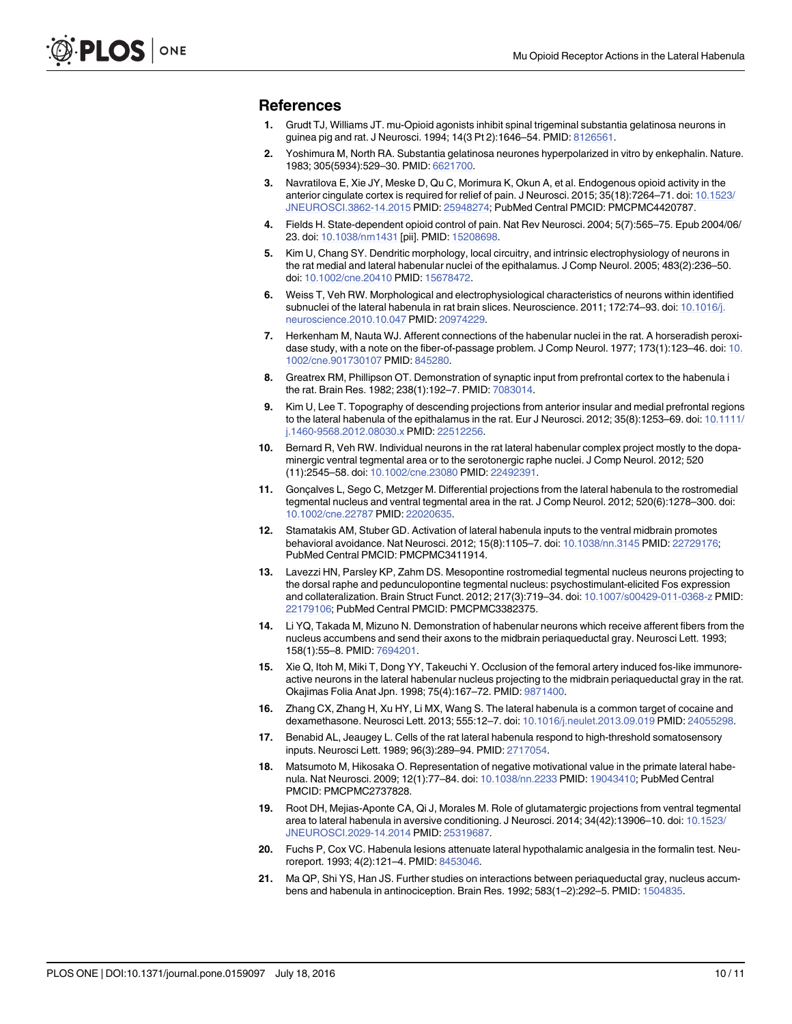#### <span id="page-9-0"></span>References

- [1.](#page-0-0) Grudt TJ, Williams JT. mu-Opioid agonists inhibit spinal trigeminal substantia gelatinosa neurons in guinea pig and rat. J Neurosci. 1994; 14(3 Pt 2):1646–54. PMID: [8126561](http://www.ncbi.nlm.nih.gov/pubmed/8126561).
- [2.](#page-0-0) Yoshimura M, North RA. Substantia gelatinosa neurones hyperpolarized in vitro by enkephalin. Nature. 1983; 305(5934):529–30. PMID: [6621700](http://www.ncbi.nlm.nih.gov/pubmed/6621700).
- [3.](#page-0-0) Navratilova E, Xie JY, Meske D, Qu C, Morimura K, Okun A, et al. Endogenous opioid activity in the anterior cingulate cortex is required for relief of pain. J Neurosci. 2015; 35(18):7264–71. doi: [10.1523/](http://dx.doi.org/10.1523/JNEUROSCI.3862-14.2015) [JNEUROSCI.3862-14.2015](http://dx.doi.org/10.1523/JNEUROSCI.3862-14.2015) PMID: [25948274](http://www.ncbi.nlm.nih.gov/pubmed/25948274); PubMed Central PMCID: PMCPMC4420787.
- [4.](#page-0-0) Fields H. State-dependent opioid control of pain. Nat Rev Neurosci. 2004; 5(7):565–75. Epub 2004/06/ 23. doi: [10.1038/nrn1431](http://dx.doi.org/10.1038/nrn1431) [pii]. PMID: [15208698.](http://www.ncbi.nlm.nih.gov/pubmed/15208698)
- [5.](#page-0-0) Kim U, Chang SY. Dendritic morphology, local circuitry, and intrinsic electrophysiology of neurons in the rat medial and lateral habenular nuclei of the epithalamus. J Comp Neurol. 2005; 483(2):236–50. doi: [10.1002/cne.20410](http://dx.doi.org/10.1002/cne.20410) PMID: [15678472.](http://www.ncbi.nlm.nih.gov/pubmed/15678472)
- [6.](#page-0-0) Weiss T, Veh RW. Morphological and electrophysiological characteristics of neurons within identified subnuclei of the lateral habenula in rat brain slices. Neuroscience. 2011; 172:74-93. doi: [10.1016/j.](http://dx.doi.org/10.1016/j.neuroscience.2010.10.047) [neuroscience.2010.10.047](http://dx.doi.org/10.1016/j.neuroscience.2010.10.047) PMID: [20974229.](http://www.ncbi.nlm.nih.gov/pubmed/20974229)
- [7.](#page-1-0) Herkenham M, Nauta WJ. Afferent connections of the habenular nuclei in the rat. A horseradish peroxidase study, with a note on the fiber-of-passage problem. J Comp Neurol. 1977; 173(1):123–46. doi: [10.](http://dx.doi.org/10.1002/cne.901730107) [1002/cne.901730107](http://dx.doi.org/10.1002/cne.901730107) PMID: [845280](http://www.ncbi.nlm.nih.gov/pubmed/845280).
- [8.](#page-1-0) Greatrex RM, Phillipson OT. Demonstration of synaptic input from prefrontal cortex to the habenula i the rat. Brain Res. 1982; 238(1):192–7. PMID: [7083014.](http://www.ncbi.nlm.nih.gov/pubmed/7083014)
- [9.](#page-1-0) Kim U, Lee T. Topography of descending projections from anterior insular and medial prefrontal regions to the lateral habenula of the epithalamus in the rat. Eur J Neurosci. 2012; 35(8):1253-69. doi: [10.1111/](http://dx.doi.org/10.1111/j.1460-9568.2012.08030.x) [j.1460-9568.2012.08030.x](http://dx.doi.org/10.1111/j.1460-9568.2012.08030.x) PMID: [22512256](http://www.ncbi.nlm.nih.gov/pubmed/22512256).
- [10.](#page-1-0) Bernard R, Veh RW. Individual neurons in the rat lateral habenular complex project mostly to the dopaminergic ventral tegmental area or to the serotonergic raphe nuclei. J Comp Neurol. 2012; 520 (11):2545–58. doi: [10.1002/cne.23080](http://dx.doi.org/10.1002/cne.23080) PMID: [22492391.](http://www.ncbi.nlm.nih.gov/pubmed/22492391)
- [11.](#page-1-0) Gonçalves L, Sego C, Metzger M. Differential projections from the lateral habenula to the rostromedial tegmental nucleus and ventral tegmental area in the rat. J Comp Neurol. 2012; 520(6):1278–300. doi: [10.1002/cne.22787](http://dx.doi.org/10.1002/cne.22787) PMID: [22020635](http://www.ncbi.nlm.nih.gov/pubmed/22020635).
- [12.](#page-1-0) Stamatakis AM, Stuber GD. Activation of lateral habenula inputs to the ventral midbrain promotes behavioral avoidance. Nat Neurosci. 2012; 15(8):1105–7. doi: [10.1038/nn.3145](http://dx.doi.org/10.1038/nn.3145) PMID: [22729176](http://www.ncbi.nlm.nih.gov/pubmed/22729176); PubMed Central PMCID: PMCPMC3411914.
- [13.](#page-1-0) Lavezzi HN, Parsley KP, Zahm DS. Mesopontine rostromedial tegmental nucleus neurons projecting to the dorsal raphe and pedunculopontine tegmental nucleus: psychostimulant-elicited Fos expression and collateralization. Brain Struct Funct. 2012; 217(3):719–34. doi: [10.1007/s00429-011-0368-z](http://dx.doi.org/10.1007/s00429-011-0368-z) PMID: [22179106](http://www.ncbi.nlm.nih.gov/pubmed/22179106); PubMed Central PMCID: PMCPMC3382375.
- [14.](#page-1-0) Li YQ, Takada M, Mizuno N. Demonstration of habenular neurons which receive afferent fibers from the nucleus accumbens and send their axons to the midbrain periaqueductal gray. Neurosci Lett. 1993; 158(1):55–8. PMID: [7694201.](http://www.ncbi.nlm.nih.gov/pubmed/7694201)
- [15.](#page-1-0) Xie Q, Itoh M, Miki T, Dong YY, Takeuchi Y. Occlusion of the femoral artery induced fos-like immunoreactive neurons in the lateral habenular nucleus projecting to the midbrain periaqueductal gray in the rat. Okajimas Folia Anat Jpn. 1998; 75(4):167–72. PMID: [9871400](http://www.ncbi.nlm.nih.gov/pubmed/9871400).
- [16.](#page-1-0) Zhang CX, Zhang H, Xu HY, Li MX, Wang S. The lateral habenula is a common target of cocaine and dexamethasone. Neurosci Lett. 2013; 555:12–7. doi: [10.1016/j.neulet.2013.09.019](http://dx.doi.org/10.1016/j.neulet.2013.09.019) PMID: [24055298](http://www.ncbi.nlm.nih.gov/pubmed/24055298).
- [17.](#page-1-0) Benabid AL, Jeaugey L. Cells of the rat lateral habenula respond to high-threshold somatosensory inputs. Neurosci Lett. 1989; 96(3):289–94. PMID: [2717054.](http://www.ncbi.nlm.nih.gov/pubmed/2717054)
- [18.](#page-1-0) Matsumoto M, Hikosaka O. Representation of negative motivational value in the primate lateral habenula. Nat Neurosci. 2009; 12(1):77–84. doi: [10.1038/nn.2233](http://dx.doi.org/10.1038/nn.2233) PMID: [19043410;](http://www.ncbi.nlm.nih.gov/pubmed/19043410) PubMed Central PMCID: PMCPMC2737828.
- [19.](#page-1-0) Root DH, Mejias-Aponte CA, Qi J, Morales M. Role of glutamatergic projections from ventral tegmental area to lateral habenula in aversive conditioning. J Neurosci. 2014; 34(42):13906–10. doi: [10.1523/](http://dx.doi.org/10.1523/JNEUROSCI.2029-14.2014) [JNEUROSCI.2029-14.2014](http://dx.doi.org/10.1523/JNEUROSCI.2029-14.2014) PMID: [25319687](http://www.ncbi.nlm.nih.gov/pubmed/25319687).
- [20.](#page-1-0) Fuchs P, Cox VC. Habenula lesions attenuate lateral hypothalamic analgesia in the formalin test. Neuroreport. 1993; 4(2):121–4. PMID: [8453046](http://www.ncbi.nlm.nih.gov/pubmed/8453046).
- [21.](#page-1-0) Ma QP, Shi YS, Han JS. Further studies on interactions between periaqueductal gray, nucleus accumbens and habenula in antinociception. Brain Res. 1992; 583(1–2):292–5. PMID: [1504835.](http://www.ncbi.nlm.nih.gov/pubmed/1504835)